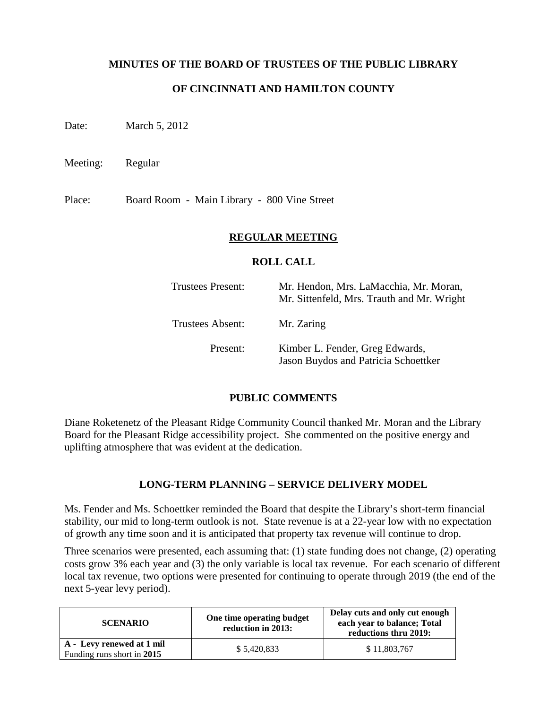### **MINUTES OF THE BOARD OF TRUSTEES OF THE PUBLIC LIBRARY**

# **OF CINCINNATI AND HAMILTON COUNTY**

Date: March 5, 2012

Meeting: Regular

Place: Board Room - Main Library - 800 Vine Street

### **REGULAR MEETING**

#### **ROLL CALL**

| Trustees Present:       | Mr. Hendon, Mrs. LaMacchia, Mr. Moran,<br>Mr. Sittenfeld, Mrs. Trauth and Mr. Wright |
|-------------------------|--------------------------------------------------------------------------------------|
| <b>Trustees Absent:</b> | Mr. Zaring                                                                           |
| Present:                | Kimber L. Fender, Greg Edwards,<br><b>Jason Buydos and Patricia Schoettker</b>       |

#### **PUBLIC COMMENTS**

Diane Roketenetz of the Pleasant Ridge Community Council thanked Mr. Moran and the Library Board for the Pleasant Ridge accessibility project. She commented on the positive energy and uplifting atmosphere that was evident at the dedication.

#### **LONG-TERM PLANNING – SERVICE DELIVERY MODEL**

Ms. Fender and Ms. Schoettker reminded the Board that despite the Library's short-term financial stability, our mid to long-term outlook is not. State revenue is at a 22-year low with no expectation of growth any time soon and it is anticipated that property tax revenue will continue to drop.

Three scenarios were presented, each assuming that: (1) state funding does not change, (2) operating costs grow 3% each year and (3) the only variable is local tax revenue. For each scenario of different local tax revenue, two options were presented for continuing to operate through 2019 (the end of the next 5-year levy period).

| <b>SCENARIO</b>                                         | One time operating budget<br>reduction in 2013: | Delay cuts and only cut enough<br>each year to balance; Total<br>reductions thru 2019: |  |
|---------------------------------------------------------|-------------------------------------------------|----------------------------------------------------------------------------------------|--|
| A - Levy renewed at 1 mil<br>Funding runs short in 2015 | \$5,420,833                                     | \$11,803,767                                                                           |  |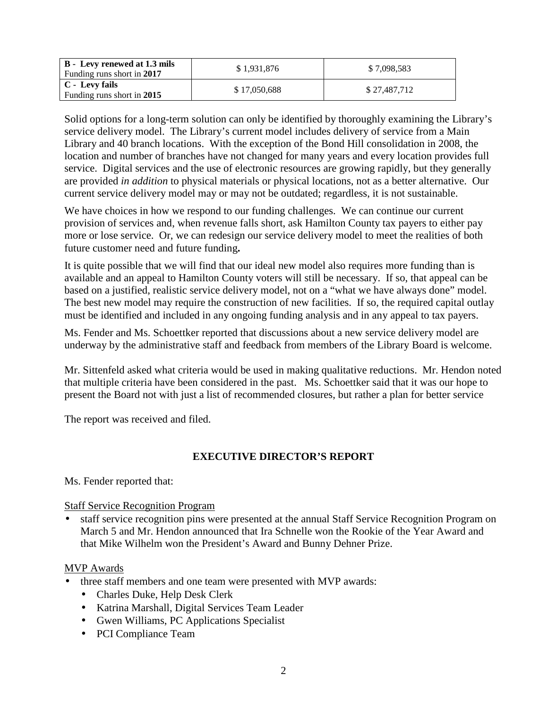| <b>B</b> - Levy renewed at 1.3 mils<br>Funding runs short in 2017 | \$1,931,876  | \$7,098,583  |
|-------------------------------------------------------------------|--------------|--------------|
| C - Levy fails<br>Funding runs short in 2015                      | \$17,050,688 | \$27,487,712 |

Solid options for a long-term solution can only be identified by thoroughly examining the Library's service delivery model. The Library's current model includes delivery of service from a Main Library and 40 branch locations. With the exception of the Bond Hill consolidation in 2008, the location and number of branches have not changed for many years and every location provides full service. Digital services and the use of electronic resources are growing rapidly, but they generally are provided *in addition* to physical materials or physical locations, not as a better alternative. Our current service delivery model may or may not be outdated; regardless, it is not sustainable.

We have choices in how we respond to our funding challenges. We can continue our current provision of services and, when revenue falls short, ask Hamilton County tax payers to either pay more or lose service. Or, we can redesign our service delivery model to meet the realities of both future customer need and future funding**.** 

It is quite possible that we will find that our ideal new model also requires more funding than is available and an appeal to Hamilton County voters will still be necessary. If so, that appeal can be based on a justified, realistic service delivery model, not on a "what we have always done" model. The best new model may require the construction of new facilities. If so, the required capital outlay must be identified and included in any ongoing funding analysis and in any appeal to tax payers.

Ms. Fender and Ms. Schoettker reported that discussions about a new service delivery model are underway by the administrative staff and feedback from members of the Library Board is welcome.

Mr. Sittenfeld asked what criteria would be used in making qualitative reductions. Mr. Hendon noted that multiple criteria have been considered in the past. Ms. Schoettker said that it was our hope to present the Board not with just a list of recommended closures, but rather a plan for better service

The report was received and filed.

# **EXECUTIVE DIRECTOR'S REPORT**

Ms. Fender reported that:

# Staff Service Recognition Program

• staff service recognition pins were presented at the annual Staff Service Recognition Program on March 5 and Mr. Hendon announced that Ira Schnelle won the Rookie of the Year Award and that Mike Wilhelm won the President's Award and Bunny Dehner Prize.

# MVP Awards

- three staff members and one team were presented with MVP awards:
	- Charles Duke, Help Desk Clerk
	- Katrina Marshall, Digital Services Team Leader
	- Gwen Williams, PC Applications Specialist
	- PCI Compliance Team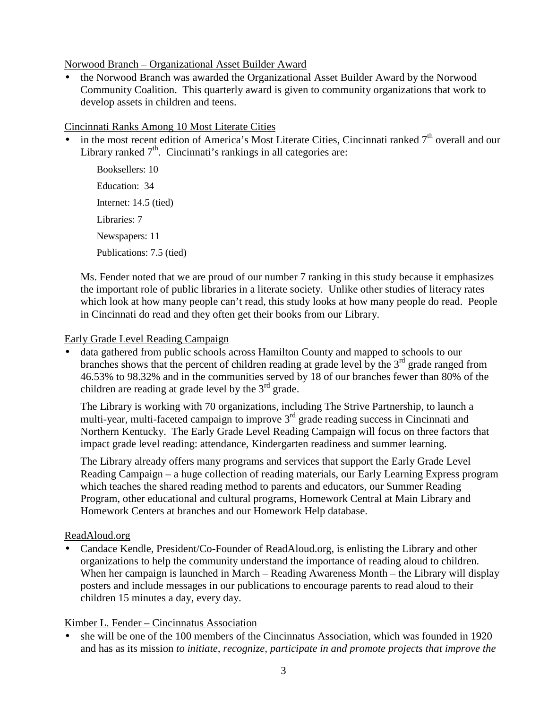Norwood Branch – Organizational Asset Builder Award

• the Norwood Branch was awarded the Organizational Asset Builder Award by the Norwood Community Coalition. This quarterly award is given to community organizations that work to develop assets in children and teens.

# Cincinnati Ranks Among 10 Most Literate Cities

in the most recent edition of America's Most Literate Cities, Cincinnati ranked  $7<sup>th</sup>$  overall and our Library ranked  $7<sup>th</sup>$ . Cincinnati's rankings in all categories are:

Booksellers: 10 Education: 34 Internet: 14.5 (tied) Libraries: 7 Newspapers: 11 Publications: 7.5 (tied)

Ms. Fender noted that we are proud of our number 7 ranking in this study because it emphasizes the important role of public libraries in a literate society. Unlike other studies of literacy rates which look at how many people can't read, this study looks at how many people do read. People in Cincinnati do read and they often get their books from our Library.

Early Grade Level Reading Campaign

• data gathered from public schools across Hamilton County and mapped to schools to our branches shows that the percent of children reading at grade level by the  $3<sup>rd</sup>$  grade ranged from 46.53% to 98.32% and in the communities served by 18 of our branches fewer than 80% of the children are reading at grade level by the  $3<sup>rd</sup>$  grade.

The Library is working with 70 organizations, including The Strive Partnership, to launch a multi-year, multi-faceted campaign to improve  $3<sup>rd</sup>$  grade reading success in Cincinnati and Northern Kentucky. The Early Grade Level Reading Campaign will focus on three factors that impact grade level reading: attendance, Kindergarten readiness and summer learning.

The Library already offers many programs and services that support the Early Grade Level Reading Campaign – a huge collection of reading materials, our Early Learning Express program which teaches the shared reading method to parents and educators, our Summer Reading Program, other educational and cultural programs, Homework Central at Main Library and Homework Centers at branches and our Homework Help database.

# ReadAloud.org

• Candace Kendle, President/Co-Founder of ReadAloud.org, is enlisting the Library and other organizations to help the community understand the importance of reading aloud to children. When her campaign is launched in March – Reading Awareness Month – the Library will display posters and include messages in our publications to encourage parents to read aloud to their children 15 minutes a day, every day.

# Kimber L. Fender – Cincinnatus Association

• she will be one of the 100 members of the Cincinnatus Association, which was founded in 1920 and has as its mission *to initiate, recognize, participate in and promote projects that improve the*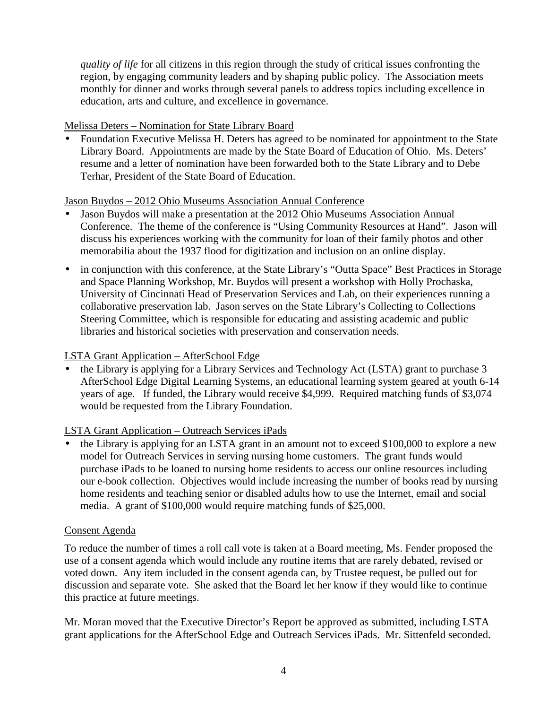*quality of life* for all citizens in this region through the study of critical issues confronting the region, by engaging community leaders and by shaping public policy. The Association meets monthly for dinner and works through several panels to address topics including excellence in education, arts and culture, and excellence in governance.

# Melissa Deters – Nomination for State Library Board

• Foundation Executive Melissa H. Deters has agreed to be nominated for appointment to the State Library Board. Appointments are made by the State Board of Education of Ohio. Ms. Deters' resume and a letter of nomination have been forwarded both to the State Library and to Debe Terhar, President of the State Board of Education.

#### Jason Buydos – 2012 Ohio Museums Association Annual Conference

- Jason Buydos will make a presentation at the 2012 Ohio Museums Association Annual Conference. The theme of the conference is "Using Community Resources at Hand". Jason will discuss his experiences working with the community for loan of their family photos and other memorabilia about the 1937 flood for digitization and inclusion on an online display.
- in conjunction with this conference, at the State Library's "Outta Space" Best Practices in Storage and Space Planning Workshop, Mr. Buydos will present a workshop with Holly Prochaska, University of Cincinnati Head of Preservation Services and Lab, on their experiences running a collaborative preservation lab. Jason serves on the State Library's Collecting to Collections Steering Committee, which is responsible for educating and assisting academic and public libraries and historical societies with preservation and conservation needs.

### LSTA Grant Application – AfterSchool Edge

• the Library is applying for a Library Services and Technology Act (LSTA) grant to purchase 3 AfterSchool Edge Digital Learning Systems, an educational learning system geared at youth 6-14 years of age. If funded, the Library would receive \$4,999. Required matching funds of \$3,074 would be requested from the Library Foundation.

# LSTA Grant Application – Outreach Services iPads

• the Library is applying for an LSTA grant in an amount not to exceed \$100,000 to explore a new model for Outreach Services in serving nursing home customers. The grant funds would purchase iPads to be loaned to nursing home residents to access our online resources including our e-book collection. Objectives would include increasing the number of books read by nursing home residents and teaching senior or disabled adults how to use the Internet, email and social media. A grant of \$100,000 would require matching funds of \$25,000.

#### Consent Agenda

To reduce the number of times a roll call vote is taken at a Board meeting, Ms. Fender proposed the use of a consent agenda which would include any routine items that are rarely debated, revised or voted down. Any item included in the consent agenda can, by Trustee request, be pulled out for discussion and separate vote. She asked that the Board let her know if they would like to continue this practice at future meetings.

Mr. Moran moved that the Executive Director's Report be approved as submitted, including LSTA grant applications for the AfterSchool Edge and Outreach Services iPads. Mr. Sittenfeld seconded.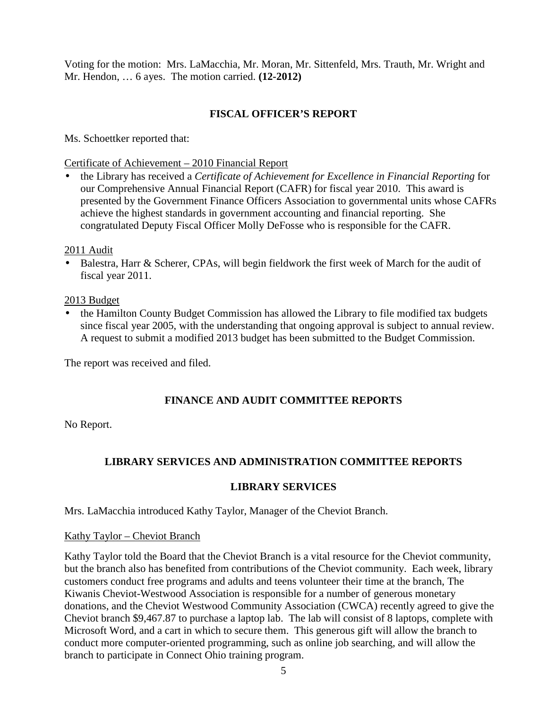Voting for the motion: Mrs. LaMacchia, Mr. Moran, Mr. Sittenfeld, Mrs. Trauth, Mr. Wright and Mr. Hendon, … 6 ayes. The motion carried. **(12-2012)**

# **FISCAL OFFICER'S REPORT**

Ms. Schoettker reported that:

Certificate of Achievement – 2010 Financial Report

• the Library has received a *Certificate of Achievement for Excellence in Financial Reporting* for our Comprehensive Annual Financial Report (CAFR) for fiscal year 2010.This award is presented by the Government Finance Officers Association to governmental units whose CAFRs achieve the highest standards in government accounting and financial reporting. She congratulated Deputy Fiscal Officer Molly DeFosse who is responsible for the CAFR.

### 2011 Audit

• Balestra, Harr & Scherer, CPAs, will begin fieldwork the first week of March for the audit of fiscal year 2011.

### 2013 Budget

• the Hamilton County Budget Commission has allowed the Library to file modified tax budgets since fiscal year 2005, with the understanding that ongoing approval is subject to annual review. A request to submit a modified 2013 budget has been submitted to the Budget Commission.

The report was received and filed.

# **FINANCE AND AUDIT COMMITTEE REPORTS**

No Report.

# **LIBRARY SERVICES AND ADMINISTRATION COMMITTEE REPORTS**

# **LIBRARY SERVICES**

Mrs. LaMacchia introduced Kathy Taylor, Manager of the Cheviot Branch.

#### Kathy Taylor – Cheviot Branch

Kathy Taylor told the Board that the Cheviot Branch is a vital resource for the Cheviot community, but the branch also has benefited from contributions of the Cheviot community. Each week, library customers conduct free programs and adults and teens volunteer their time at the branch, The Kiwanis Cheviot-Westwood Association is responsible for a number of generous monetary donations, and the Cheviot Westwood Community Association (CWCA) recently agreed to give the Cheviot branch \$9,467.87 to purchase a laptop lab. The lab will consist of 8 laptops, complete with Microsoft Word, and a cart in which to secure them. This generous gift will allow the branch to conduct more computer-oriented programming, such as online job searching, and will allow the branch to participate in Connect Ohio training program.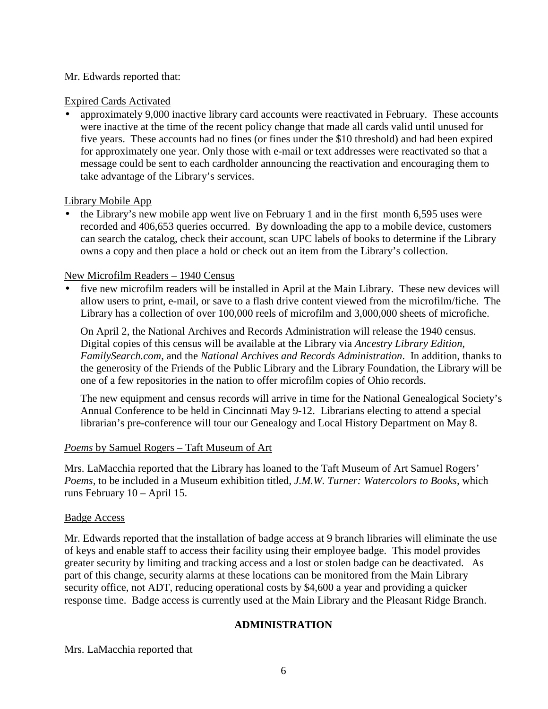### Mr. Edwards reported that:

### Expired Cards Activated

• approximately 9,000 inactive library card accounts were reactivated in February. These accounts were inactive at the time of the recent policy change that made all cards valid until unused for five years. These accounts had no fines (or fines under the \$10 threshold) and had been expired for approximately one year. Only those with e-mail or text addresses were reactivated so that a message could be sent to each cardholder announcing the reactivation and encouraging them to take advantage of the Library's services.

### Library Mobile App

• the Library's new mobile app went live on February 1 and in the first month 6,595 uses were recorded and 406,653 queries occurred. By downloading the app to a mobile device, customers can search the catalog, check their account, scan UPC labels of books to determine if the Library owns a copy and then place a hold or check out an item from the Library's collection.

### New Microfilm Readers – 1940 Census

• five new microfilm readers will be installed in April at the Main Library. These new devices will allow users to print, e-mail, or save to a flash drive content viewed from the microfilm/fiche. The Library has a collection of over 100,000 reels of microfilm and 3,000,000 sheets of microfiche.

On April 2, the National Archives and Records Administration will release the 1940 census. Digital copies of this census will be available at the Library via *Ancestry Library Edition*, *FamilySearch.com*, and the *National Archives and Records Administration*. In addition, thanks to the generosity of the Friends of the Public Library and the Library Foundation, the Library will be one of a few repositories in the nation to offer microfilm copies of Ohio records.

The new equipment and census records will arrive in time for the National Genealogical Society's Annual Conference to be held in Cincinnati May 9-12. Librarians electing to attend a special librarian's pre-conference will tour our Genealogy and Local History Department on May 8.

#### *Poems* by Samuel Rogers – Taft Museum of Art

Mrs. LaMacchia reported that the Library has loaned to the Taft Museum of Art Samuel Rogers' *Poems,* to be included in a Museum exhibition titled, *J.M.W. Turner: Watercolors to Books,* which runs February 10 – April 15.

#### Badge Access

Mr. Edwards reported that the installation of badge access at 9 branch libraries will eliminate the use of keys and enable staff to access their facility using their employee badge. This model provides greater security by limiting and tracking access and a lost or stolen badge can be deactivated. As part of this change, security alarms at these locations can be monitored from the Main Library security office, not ADT, reducing operational costs by \$4,600 a year and providing a quicker response time. Badge access is currently used at the Main Library and the Pleasant Ridge Branch.

#### **ADMINISTRATION**

#### Mrs. LaMacchia reported that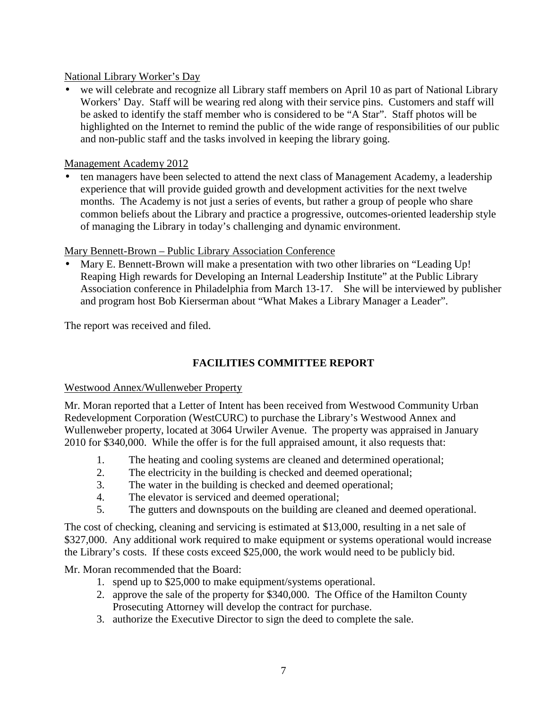# National Library Worker's Day

• we will celebrate and recognize all Library staff members on April 10 as part of National Library Workers' Day. Staff will be wearing red along with their service pins. Customers and staff will be asked to identify the staff member who is considered to be "A Star". Staff photos will be highlighted on the Internet to remind the public of the wide range of responsibilities of our public and non-public staff and the tasks involved in keeping the library going.

# Management Academy 2012

ten managers have been selected to attend the next class of Management Academy, a leadership experience that will provide guided growth and development activities for the next twelve months. The Academy is not just a series of events, but rather a group of people who share common beliefs about the Library and practice a progressive, outcomes-oriented leadership style of managing the Library in today's challenging and dynamic environment.

# Mary Bennett-Brown – Public Library Association Conference

• Mary E. Bennett-Brown will make a presentation with two other libraries on "Leading Up! Reaping High rewards for Developing an Internal Leadership Institute" at the Public Library Association conference in Philadelphia from March 13-17. She will be interviewed by publisher and program host Bob Kierserman about "What Makes a Library Manager a Leader".

The report was received and filed.

# **FACILITIES COMMITTEE REPORT**

# Westwood Annex/Wullenweber Property

Mr. Moran reported that a Letter of Intent has been received from Westwood Community Urban Redevelopment Corporation (WestCURC) to purchase the Library's Westwood Annex and Wullenweber property, located at 3064 Urwiler Avenue. The property was appraised in January 2010 for \$340,000. While the offer is for the full appraised amount, it also requests that:

- 1. The heating and cooling systems are cleaned and determined operational;
- 2. The electricity in the building is checked and deemed operational;
- 3. The water in the building is checked and deemed operational;
- 4. The elevator is serviced and deemed operational;
- 5. The gutters and downspouts on the building are cleaned and deemed operational.

The cost of checking, cleaning and servicing is estimated at \$13,000, resulting in a net sale of \$327,000. Any additional work required to make equipment or systems operational would increase the Library's costs. If these costs exceed \$25,000, the work would need to be publicly bid.

Mr. Moran recommended that the Board:

- 1. spend up to \$25,000 to make equipment/systems operational.
- 2. approve the sale of the property for \$340,000. The Office of the Hamilton County Prosecuting Attorney will develop the contract for purchase.
- 3. authorize the Executive Director to sign the deed to complete the sale.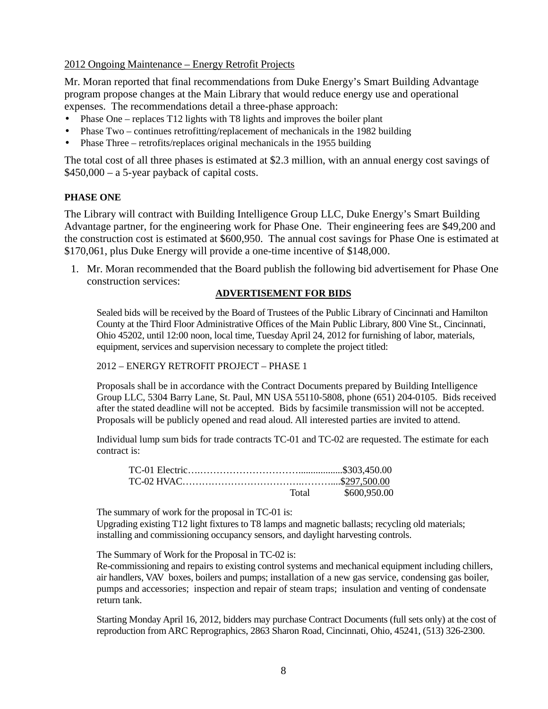2012 Ongoing Maintenance – Energy Retrofit Projects

Mr. Moran reported that final recommendations from Duke Energy's Smart Building Advantage program propose changes at the Main Library that would reduce energy use and operational expenses. The recommendations detail a three-phase approach:

- Phase One replaces T12 lights with T8 lights and improves the boiler plant
- Phase Two continues retrofitting/replacement of mechanicals in the 1982 building
- Phase Three retrofits/replaces original mechanicals in the 1955 building

The total cost of all three phases is estimated at \$2.3 million, with an annual energy cost savings of  $$450,000 - a 5$ -year payback of capital costs.

### **PHASE ONE**

The Library will contract with Building Intelligence Group LLC, Duke Energy's Smart Building Advantage partner, for the engineering work for Phase One. Their engineering fees are \$49,200 and the construction cost is estimated at \$600,950. The annual cost savings for Phase One is estimated at \$170,061, plus Duke Energy will provide a one-time incentive of \$148,000.

1. Mr. Moran recommended that the Board publish the following bid advertisement for Phase One construction services:

#### **ADVERTISEMENT FOR BIDS**

Sealed bids will be received by the Board of Trustees of the Public Library of Cincinnati and Hamilton County at the Third Floor Administrative Offices of the Main Public Library, 800 Vine St., Cincinnati, Ohio 45202, until 12:00 noon, local time, Tuesday April 24, 2012 for furnishing of labor, materials, equipment, services and supervision necessary to complete the project titled:

2012 – ENERGY RETROFIT PROJECT – PHASE 1

Proposals shall be in accordance with the Contract Documents prepared by Building Intelligence Group LLC, 5304 Barry Lane, St. Paul, MN USA 55110-5808, phone (651) 204-0105. Bids received after the stated deadline will not be accepted. Bids by facsimile transmission will not be accepted. Proposals will be publicly opened and read aloud. All interested parties are invited to attend.

Individual lump sum bids for trade contracts TC-01 and TC-02 are requested. The estimate for each contract is:

|  | Total \$600,950.00 |
|--|--------------------|

The summary of work for the proposal in TC-01 is:

Upgrading existing T12 light fixtures to T8 lamps and magnetic ballasts; recycling old materials; installing and commissioning occupancy sensors, and daylight harvesting controls.

The Summary of Work for the Proposal in TC-02 is:

Re-commissioning and repairs to existing control systems and mechanical equipment including chillers, air handlers, VAV boxes, boilers and pumps; installation of a new gas service, condensing gas boiler, pumps and accessories; inspection and repair of steam traps; insulation and venting of condensate return tank.

Starting Monday April 16, 2012, bidders may purchase Contract Documents (full sets only) at the cost of reproduction from ARC Reprographics, 2863 Sharon Road, Cincinnati, Ohio, 45241, (513) 326-2300.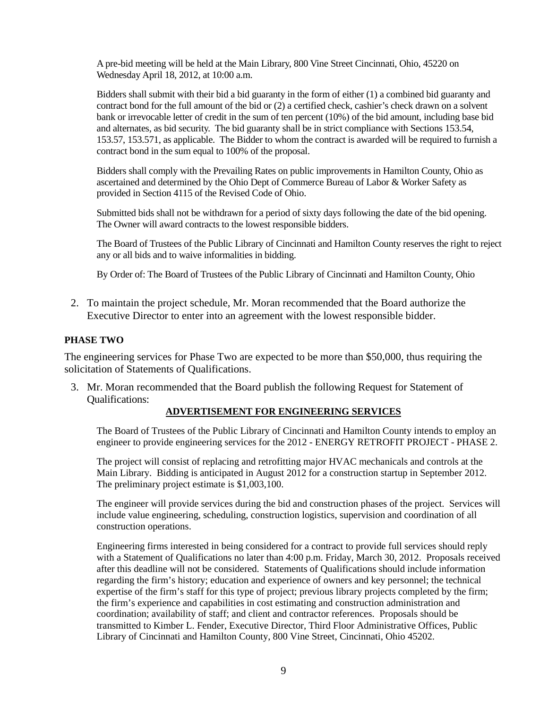A pre-bid meeting will be held at the Main Library, 800 Vine Street Cincinnati, Ohio, 45220 on Wednesday April 18, 2012, at 10:00 a.m.

Bidders shall submit with their bid a bid guaranty in the form of either (1) a combined bid guaranty and contract bond for the full amount of the bid or (2) a certified check, cashier's check drawn on a solvent bank or irrevocable letter of credit in the sum of ten percent (10%) of the bid amount, including base bid and alternates, as bid security. The bid guaranty shall be in strict compliance with Sections 153.54, 153.57, 153.571, as applicable. The Bidder to whom the contract is awarded will be required to furnish a contract bond in the sum equal to 100% of the proposal.

Bidders shall comply with the Prevailing Rates on public improvements in Hamilton County, Ohio as ascertained and determined by the Ohio Dept of Commerce Bureau of Labor & Worker Safety as provided in Section 4115 of the Revised Code of Ohio.

Submitted bids shall not be withdrawn for a period of sixty days following the date of the bid opening. The Owner will award contracts to the lowest responsible bidders.

The Board of Trustees of the Public Library of Cincinnati and Hamilton County reserves the right to reject any or all bids and to waive informalities in bidding.

By Order of: The Board of Trustees of the Public Library of Cincinnati and Hamilton County, Ohio

2. To maintain the project schedule, Mr. Moran recommended that the Board authorize the Executive Director to enter into an agreement with the lowest responsible bidder.

#### **PHASE TWO**

The engineering services for Phase Two are expected to be more than \$50,000, thus requiring the solicitation of Statements of Qualifications.

3. Mr. Moran recommended that the Board publish the following Request for Statement of Qualifications:

#### **ADVERTISEMENT FOR ENGINEERING SERVICES**

The Board of Trustees of the Public Library of Cincinnati and Hamilton County intends to employ an engineer to provide engineering services for the 2012 - ENERGY RETROFIT PROJECT - PHASE 2.

The project will consist of replacing and retrofitting major HVAC mechanicals and controls at the Main Library. Bidding is anticipated in August 2012 for a construction startup in September 2012. The preliminary project estimate is \$1,003,100.

The engineer will provide services during the bid and construction phases of the project. Services will include value engineering, scheduling, construction logistics, supervision and coordination of all construction operations.

Engineering firms interested in being considered for a contract to provide full services should reply with a Statement of Qualifications no later than 4:00 p.m. Friday, March 30, 2012. Proposals received after this deadline will not be considered. Statements of Qualifications should include information regarding the firm's history; education and experience of owners and key personnel; the technical expertise of the firm's staff for this type of project; previous library projects completed by the firm; the firm's experience and capabilities in cost estimating and construction administration and coordination; availability of staff; and client and contractor references. Proposals should be transmitted to Kimber L. Fender, Executive Director, Third Floor Administrative Offices, Public Library of Cincinnati and Hamilton County, 800 Vine Street, Cincinnati, Ohio 45202.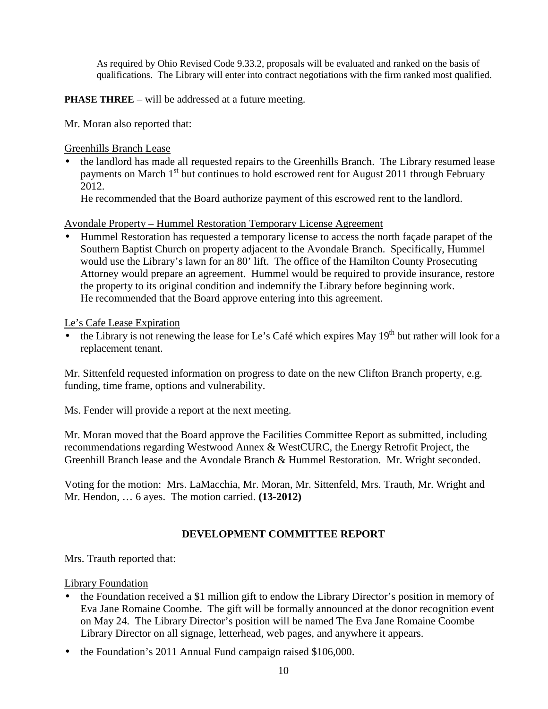As required by Ohio Revised Code 9.33.2, proposals will be evaluated and ranked on the basis of qualifications. The Library will enter into contract negotiations with the firm ranked most qualified.

**PHASE THREE** – will be addressed at a future meeting.

Mr. Moran also reported that:

### Greenhills Branch Lease

• the landlord has made all requested repairs to the Greenhills Branch. The Library resumed lease payments on March 1<sup>st</sup> but continues to hold escrowed rent for August 2011 through February 2012.

He recommended that the Board authorize payment of this escrowed rent to the landlord.

Avondale Property – Hummel Restoration Temporary License Agreement

• Hummel Restoration has requested a temporary license to access the north façade parapet of the Southern Baptist Church on property adjacent to the Avondale Branch. Specifically, Hummel would use the Library's lawn for an 80' lift. The office of the Hamilton County Prosecuting Attorney would prepare an agreement. Hummel would be required to provide insurance, restore the property to its original condition and indemnify the Library before beginning work. He recommended that the Board approve entering into this agreement.

Le's Cafe Lease Expiration

the Library is not renewing the lease for Le's Café which expires May  $19<sup>th</sup>$  but rather will look for a replacement tenant.

Mr. Sittenfeld requested information on progress to date on the new Clifton Branch property, e.g. funding, time frame, options and vulnerability.

Ms. Fender will provide a report at the next meeting.

Mr. Moran moved that the Board approve the Facilities Committee Report as submitted, including recommendations regarding Westwood Annex & WestCURC, the Energy Retrofit Project, the Greenhill Branch lease and the Avondale Branch & Hummel Restoration. Mr. Wright seconded.

Voting for the motion: Mrs. LaMacchia, Mr. Moran, Mr. Sittenfeld, Mrs. Trauth, Mr. Wright and Mr. Hendon, … 6 ayes. The motion carried. **(13-2012)**

# **DEVELOPMENT COMMITTEE REPORT**

Mrs. Trauth reported that:

#### Library Foundation

- the Foundation received a \$1 million gift to endow the Library Director's position in memory of Eva Jane Romaine Coombe. The gift will be formally announced at the donor recognition event on May 24. The Library Director's position will be named The Eva Jane Romaine Coombe Library Director on all signage, letterhead, web pages, and anywhere it appears.
- the Foundation's 2011 Annual Fund campaign raised \$106,000.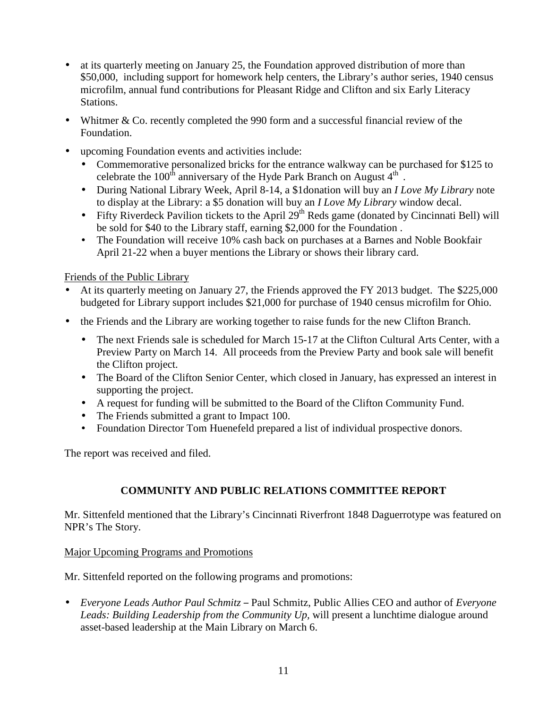- at its quarterly meeting on January 25, the Foundation approved distribution of more than \$50,000, including support for homework help centers, the Library's author series, 1940 census microfilm, annual fund contributions for Pleasant Ridge and Clifton and six Early Literacy Stations.
- Whitmer & Co. recently completed the 990 form and a successful financial review of the Foundation.
- upcoming Foundation events and activities include:
	- Commemorative personalized bricks for the entrance walkway can be purchased for \$125 to celebrate the 100<sup>th</sup> anniversary of the Hyde Park Branch on August  $4<sup>th</sup>$ .
	- During National Library Week, April 8-14, a \$1donation will buy an *I Love My Library* note to display at the Library: a \$5 donation will buy an *I Love My Library* window decal.
	- Fifty Riverdeck Pavilion tickets to the April  $29<sup>th</sup>$  Reds game (donated by Cincinnati Bell) will be sold for \$40 to the Library staff, earning \$2,000 for the Foundation .
	- The Foundation will receive 10% cash back on purchases at a Barnes and Noble Bookfair April 21-22 when a buyer mentions the Library or shows their library card.

# Friends of the Public Library

- At its quarterly meeting on January 27, the Friends approved the FY 2013 budget. The \$225,000 budgeted for Library support includes \$21,000 for purchase of 1940 census microfilm for Ohio.
- the Friends and the Library are working together to raise funds for the new Clifton Branch.
	- The next Friends sale is scheduled for March 15-17 at the Clifton Cultural Arts Center, with a Preview Party on March 14. All proceeds from the Preview Party and book sale will benefit the Clifton project.
	- The Board of the Clifton Senior Center, which closed in January, has expressed an interest in supporting the project.
	- A request for funding will be submitted to the Board of the Clifton Community Fund.
	- The Friends submitted a grant to Impact 100.
	- Foundation Director Tom Huenefeld prepared a list of individual prospective donors.

The report was received and filed.

# **COMMUNITY AND PUBLIC RELATIONS COMMITTEE REPORT**

Mr. Sittenfeld mentioned that the Library's Cincinnati Riverfront 1848 Daguerrotype was featured on NPR's The Story.

# Major Upcoming Programs and Promotions

Mr. Sittenfeld reported on the following programs and promotions:

• *Everyone Leads Author Paul Schmitz –* Paul Schmitz, Public Allies CEO and author of *Everyone*  Leads: Building Leadership from the Community Up, will present a lunchtime dialogue around asset-based leadership at the Main Library on March 6.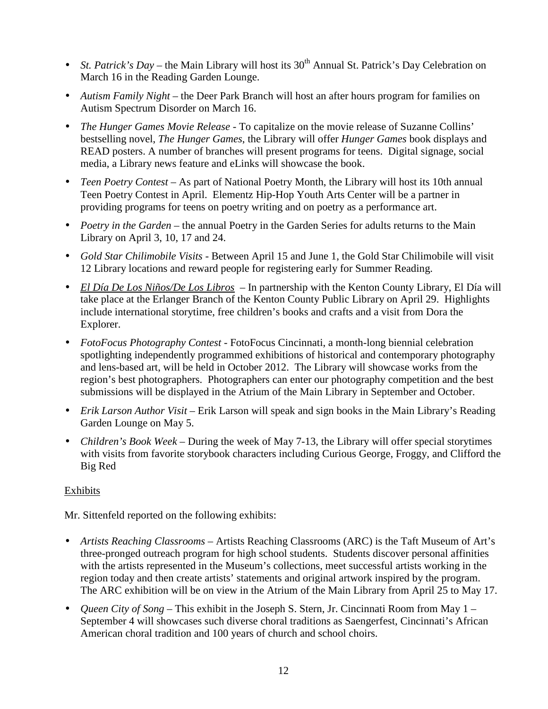- *St. Patrick's Day* the Main Library will host its  $30<sup>th</sup>$  Annual St. Patrick's Day Celebration on March 16 in the Reading Garden Lounge.
- *Autism Family Night* the Deer Park Branch will host an after hours program for families on Autism Spectrum Disorder on March 16.
- *The Hunger Games Movie Release* To capitalize on the movie release of Suzanne Collins' bestselling novel, *The Hunger Games*, the Library will offer *Hunger Games* book displays and READ posters. A number of branches will present programs for teens. Digital signage, social media, a Library news feature and eLinks will showcase the book.
- *Teen Poetry Contest* As part of National Poetry Month, the Library will host its 10th annual Teen Poetry Contest in April. Elementz Hip-Hop Youth Arts Center will be a partner in providing programs for teens on poetry writing and on poetry as a performance art.
- *Poetry in the Garden* the annual Poetry in the Garden Series for adults returns to the Main Library on April 3, 10, 17 and 24.
- *Gold Star Chilimobile Visits* Between April 15 and June 1, the Gold Star Chilimobile will visit 12 Library locations and reward people for registering early for Summer Reading.
- *El Día De Los Niños/De Los Libros* In partnership with the Kenton County Library, El Día will take place at the Erlanger Branch of the Kenton County Public Library on April 29. Highlights include international storytime, free children's books and crafts and a visit from Dora the Explorer.
- *FotoFocus Photography Contest* FotoFocus Cincinnati, a month-long biennial celebration spotlighting independently programmed exhibitions of historical and contemporary photography and lens-based art, will be held in October 2012. The Library will showcase works from the region's best photographers. Photographers can enter our photography competition and the best submissions will be displayed in the Atrium of the Main Library in September and October.
- *Erik Larson Author Visit* Erik Larson will speak and sign books in the Main Library's Reading Garden Lounge on May 5.
- *Children's Book Week* During the week of May 7-13, the Library will offer special storytimes with visits from favorite storybook characters including Curious George, Froggy, and Clifford the Big Red

# Exhibits

Mr. Sittenfeld reported on the following exhibits:

- *Artists Reaching Classrooms* Artists Reaching Classrooms (ARC) is the Taft Museum of Art's three-pronged outreach program for high school students. Students discover personal affinities with the artists represented in the Museum's collections, meet successful artists working in the region today and then create artists' statements and original artwork inspired by the program. The ARC exhibition will be on view in the Atrium of the Main Library from April 25 to May 17.
- *Queen City of Song* This exhibit in the Joseph S. Stern, Jr. Cincinnati Room from May 1 September 4 will showcases such diverse choral traditions as Saengerfest, Cincinnati's African American choral tradition and 100 years of church and school choirs.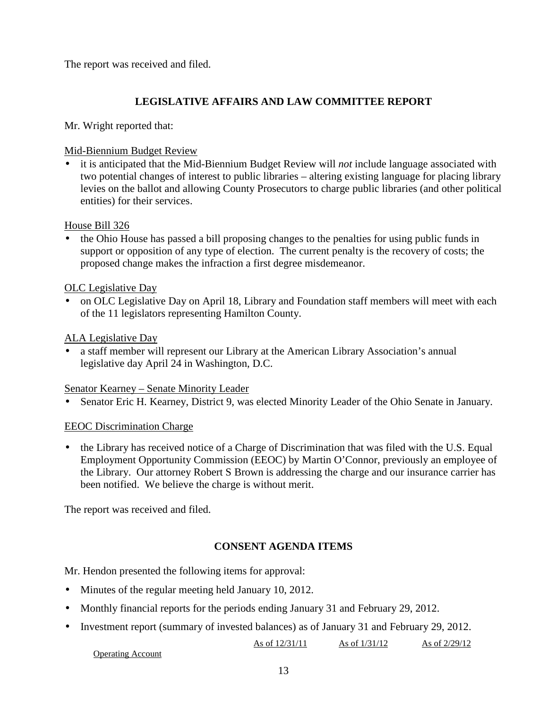The report was received and filed.

# **LEGISLATIVE AFFAIRS AND LAW COMMITTEE REPORT**

Mr. Wright reported that:

### Mid-Biennium Budget Review

• it is anticipated that the Mid-Biennium Budget Review will *not* include language associated with two potential changes of interest to public libraries – altering existing language for placing library levies on the ballot and allowing County Prosecutors to charge public libraries (and other political entities) for their services.

#### House Bill 326

• the Ohio House has passed a bill proposing changes to the penalties for using public funds in support or opposition of any type of election. The current penalty is the recovery of costs; the proposed change makes the infraction a first degree misdemeanor.

### OLC Legislative Day

• on OLC Legislative Day on April 18, Library and Foundation staff members will meet with each of the 11 legislators representing Hamilton County.

### ALA Legislative Day

• a staff member will represent our Library at the American Library Association's annual legislative day April 24 in Washington, D.C.

#### Senator Kearney – Senate Minority Leader

• Senator Eric H. Kearney, District 9, was elected Minority Leader of the Ohio Senate in January.

# EEOC Discrimination Charge

• the Library has received notice of a Charge of Discrimination that was filed with the U.S. Equal Employment Opportunity Commission (EEOC) by Martin O'Connor, previously an employee of the Library. Our attorney Robert S Brown is addressing the charge and our insurance carrier has been notified. We believe the charge is without merit.

The report was received and filed.

# **CONSENT AGENDA ITEMS**

Mr. Hendon presented the following items for approval:

- Minutes of the regular meeting held January 10, 2012.
- Monthly financial reports for the periods ending January 31 and February 29, 2012.
- Investment report (summary of invested balances) as of January 31 and February 29, 2012.

As of 12/31/11 As of 1/31/12 As of 2/29/12

```
Operating Account
```
13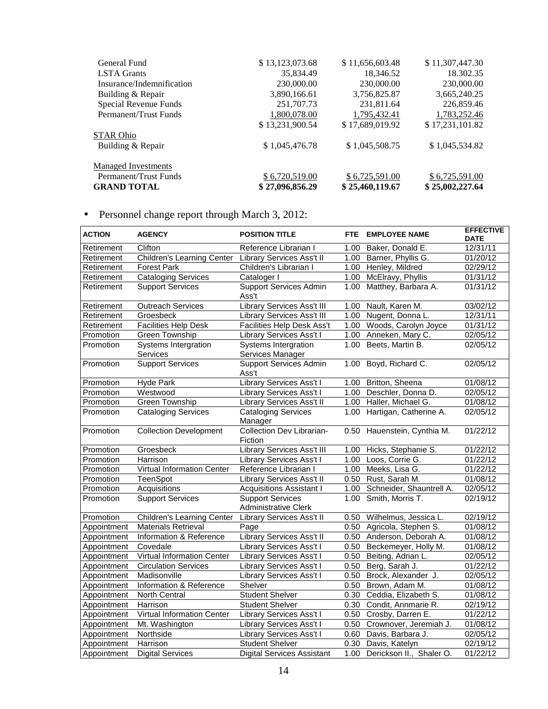| General Fund               | \$13,123,073.68 | \$11,656,603.48 | \$11,307,447.30 |
|----------------------------|-----------------|-----------------|-----------------|
| <b>LSTA</b> Grants         | 35,834.49       | 18.346.52       | 18.302.35       |
|                            |                 |                 |                 |
| Insurance/Indemnification  | 230,000.00      | 230,000.00      | 230,000.00      |
| Building & Repair          | 3,890,166.61    | 3,756,825.87    | 3,665,240.25    |
| Special Revenue Funds      | 251,707.73      | 231,811.64      | 226,859.46      |
| Permanent/Trust Funds      | 1,800,078.00    | 1,795,432.41    | 1,783,252.46    |
|                            | \$13,231,900.54 | \$17,689,019.92 | \$17,231,101.82 |
| STAR Ohio                  |                 |                 |                 |
| Building & Repair          | \$1,045,476.78  | \$1,045,508.75  | \$1,045,534.82  |
| <b>Managed Investments</b> |                 |                 |                 |
| Permanent/Trust Funds      | \$6,720,519.00  | \$6,725,591.00  | \$6,725,591.00  |
| <b>GRAND TOTAL</b>         | \$27,096,856.29 | \$25,460,119.67 | \$25,002,227.64 |
|                            |                 |                 |                 |

# • Personnel change report through March 3, 2012:

| <b>ACTION</b> | <b>AGENCY</b>                           | <b>POSITION TITLE</b>                                  |      | FTE EMPLOYEE NAME        | <b>EFFECTIVE</b><br><b>DATE</b> |
|---------------|-----------------------------------------|--------------------------------------------------------|------|--------------------------|---------------------------------|
| Retirement    | Clifton                                 | Reference Librarian I                                  | 1.00 | Baker, Donald E.         | 12/31/11                        |
| Retirement    | Children's Learning Center              | Library Services Ass't II                              | 1.00 | Barner, Phyllis G.       | 01/20/12                        |
| Retirement    | <b>Forest Park</b>                      | Children's Librarian I                                 | 1.00 | Henley, Mildred          | 02/29/12                        |
| Retirement    | <b>Cataloging Services</b>              | Cataloger I                                            | 1.00 | McElravy, Phyllis        | 01/31/12                        |
| Retirement    | <b>Support Services</b>                 | <b>Support Services Admin</b><br>Ass't                 | 1.00 | Matthey, Barbara A.      | 01/31/12                        |
| Retirement    | <b>Outreach Services</b>                | <b>Library Services Ass't III</b>                      | 1.00 | Nault, Karen M.          | 03/02/12                        |
| Retirement    | Groesbeck                               | Library Services Ass't III                             | 1.00 | Nugent, Donna L.         | 12/31/11                        |
| Retirement    | <b>Facilities Help Desk</b>             | Facilities Help Desk Ass't                             | 1.00 | Woods, Carolyn Joyce     | 01/31/12                        |
| Promotion     | <b>Green Township</b>                   | Library Services Ass't I                               | 1.00 | Anneken, Mary C.         | 02/05/12                        |
| Promotion     | <b>Systems Intergration</b><br>Services | <b>Systems Intergration</b><br>Services Manager        | 1.00 | Beets, Martin B.         | 02/05/12                        |
| Promotion     | <b>Support Services</b>                 | <b>Support Services Admin</b><br>Ass't                 | 1.00 | Boyd, Richard C.         | 02/05/12                        |
| Promotion     | Hyde Park                               | Library Services Ass't I                               | 1.00 | Britton, Sheena          | 01/08/12                        |
| Promotion     | Westwood                                | Library Services Ass't I                               | 1.00 | Deschler, Donna D.       | 02/05/12                        |
| Promotion     | <b>Green Township</b>                   | Library Services Ass't II                              | 1.00 | Haller, Michael G.       | 01/08/12                        |
| Promotion     | <b>Cataloging Services</b>              | Cataloging Services<br>Manager                         | 1.00 | Hartigan, Catherine A.   | 02/05/12                        |
| Promotion     | <b>Collection Development</b>           | Collection Dev Librarian-<br>Fiction                   | 0.50 | Hauenstein, Cynthia M.   | 01/22/12                        |
| Promotion     | Groesbeck                               | Library Services Ass't III                             | 1.00 | Hicks, Stephanie S.      | 01/22/12                        |
| Promotion     | Harrison                                | Library Services Ass't I                               | 1.00 | Loos, Corrie G.          | 01/22/12                        |
| Promotion     | Virtual Information Center              | Reference Librarian I                                  | 1.00 | Meeks, Lisa G.           | 01/22/12                        |
| Promotion     | TeenSpot                                | Library Services Ass't II                              | 0.50 | Rust, Sarah M.           | 01/08/12                        |
| Promotion     | <b>Acquisitions</b>                     | <b>Acquisitions Assistant I</b>                        | 1.00 | Schneider, Shauntrell A. | 02/05/12                        |
| Promotion     | <b>Support Services</b>                 | <b>Support Services</b><br><b>Administrative Clerk</b> | 1.00 | Smith, Morris T.         | 02/19/12                        |
| Promotion     | <b>Children's Learning Center</b>       | Library Services Ass't II                              | 0.50 | Wilhelmus, Jessica L.    | 02/19/12                        |
| Appointment   | <b>Materials Retrieval</b>              | Page                                                   | 0.50 | Agricola, Stephen S.     | 01/08/12                        |
| Appointment   | Information & Reference                 | Library Services Ass't II                              | 0.50 | Anderson, Deborah A.     | 01/08/12                        |
| Appointment   | Covedale                                | Library Services Ass't I                               | 0.50 | Beckemeyer, Holly M.     | 01/08/12                        |
| Appointment   | Virtual Information Center              | Library Services Ass't I                               | 0.50 | Beiting, Adrian L.       | 02/05/12                        |
| Appointment   | <b>Circulation Services</b>             | Library Services Ass't I                               | 0.50 | Berg, Sarah J.           | 01/22/12                        |
| Appointment   | Madisonville                            | Library Services Ass't I                               | 0.50 | Brock, Alexander J.      | 02/05/12                        |
| Appointment   | Information & Reference                 | Shelver                                                | 0.50 | Brown, Adam M.           | 01/08/12                        |
| Appointment   | <b>North Central</b>                    | <b>Student Shelver</b>                                 | 0.30 | Ceddia, Elizabeth S.     | 01/08/12                        |
| Appointment   | Harrison                                | <b>Student Shelver</b>                                 | 0.30 | Condit, Annmarie R.      | 02/19/12                        |
| Appointment   | Virtual Information Center              | Library Services Ass't I                               | 0.50 | Crosby, Darren E.        | 01/22/12                        |
| Appointment   | Mt. Washington                          | Library Services Ass't I                               | 0.50 | Crownover, Jeremiah J.   | 01/08/12                        |
| Appointment   | Northside                               | <b>Library Services Ass't I</b>                        | 0.60 | Davis, Barbara J.        | 02/05/12                        |
| Appointment   | Harrison                                | <b>Student Shelver</b>                                 | 0.30 | Davis, Katelyn           | 02/19/12                        |
| Appointment   | <b>Digital Services</b>                 | <b>Digital Services Assistant</b>                      | 1.00 | Derickson II., Shaler O. | 01/22/12                        |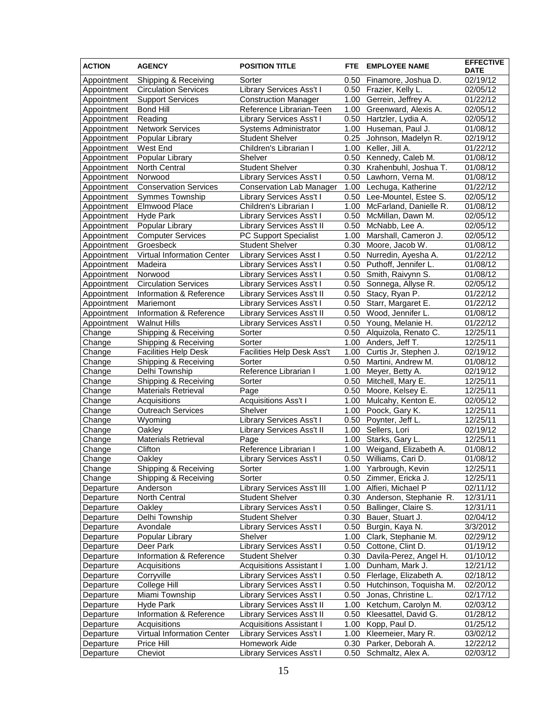| <b>ACTION</b> | <b>AGENCY</b>                | <b>POSITION TITLE</b>             | FTE  | <b>EMPLOYEE NAME</b>                | <b>EFFECTIVE</b><br><b>DATE</b> |
|---------------|------------------------------|-----------------------------------|------|-------------------------------------|---------------------------------|
| Appointment   | Shipping & Receiving         | Sorter                            | 0.50 | Finamore, Joshua D.                 | $\sqrt{02}/19/12$               |
| Appointment   | <b>Circulation Services</b>  | Library Services Ass't I          | 0.50 | Frazier, Kelly L.                   | 02/05/12                        |
| Appointment   | <b>Support Services</b>      | <b>Construction Manager</b>       | 1.00 | Gerrein, Jeffrey A.                 | 01/22/12                        |
| Appointment   | <b>Bond Hill</b>             | Reference Librarian-Teen          | 1.00 | Greenward, Alexis A.                | 02/05/12                        |
| Appointment   | Reading                      | Library Services Ass't I          | 0.50 | Hartzler, Lydia A.                  | 02/05/12                        |
| Appointment   | <b>Network Services</b>      | Systems Administrator             | 1.00 | Huseman, Paul J.                    | 01/08/12                        |
| Appointment   | Popular Library              | <b>Student Shelver</b>            | 0.25 | Johnson, Madelyn R.                 | 02/19/12                        |
| Appointment   | West End                     | Children's Librarian I            | 1.00 | Keller, Jill A.                     | 01/22/12                        |
| Appointment   | Popular Library              | Shelver                           | 0.50 | Kennedy, Caleb M.                   | 01/08/12                        |
| Appointment   | North Central                | <b>Student Shelver</b>            | 0.30 | Krahenbuhl, Joshua T.               | 01/08/12                        |
| Appointment   | Norwood                      | Library Services Ass't I          | 0.50 | Lawhorn, Verna M.                   | 01/08/12                        |
| Appointment   | <b>Conservation Services</b> | <b>Conservation Lab Manager</b>   | 1.00 | Lechuga, Katherine                  | 01/22/12                        |
| Appointment   | Symmes Township              | Library Services Ass't I          | 0.50 | Lee-Mountel, Estee S.               | 02/05/12                        |
| Appointment   | Elmwood Place                | Children's Librarian I            | 1.00 | McFarland, Danielle R.              | 01/08/12                        |
| Appointment   | Hyde Park                    | Library Services Ass't I          | 0.50 | McMillan, Dawn M.                   | 02/05/12                        |
| Appointment   | Popular Library              | Library Services Ass't II         | 0.50 | McNabb, Lee A.                      | 02/05/12                        |
| Appointment   | <b>Computer Services</b>     | PC Support Specialist             | 1.00 | Marshall, Cameron J.                | 02/05/12                        |
| Appointment   | Groesbeck                    | <b>Student Shelver</b>            | 0.30 | Moore, Jacob W.                     | 01/08/12                        |
| Appointment   | Virtual Information Center   | <b>Library Services Asst I</b>    | 0.50 | Nurredin, Ayesha A.                 | $\overline{01}/22/12$           |
| Appointment   | Madeira                      | Library Services Ass't I          | 0.50 | Puthoff, Jennifer L.                | 01/08/12                        |
| Appointment   | Norwood                      | Library Services Ass't I          | 0.50 | Smith, Raivynn S.                   | 01/08/12                        |
| Appointment   | <b>Circulation Services</b>  | Library Services Ass't I          | 0.50 | Sonnega, Allyse R.                  | 02/05/12                        |
| Appointment   | Information & Reference      | Library Services Ass't II         | 0.50 | Stacy, Ryan P.                      | 01/22/12                        |
| Appointment   | Mariemont                    | Library Services Ass't I          | 0.50 | Starr, Margaret E.                  | 01/22/12                        |
| Appointment   | Information & Reference      | Library Services Ass't II         | 0.50 | Wood, Jennifer L.                   | 01/08/12                        |
| Appointment   | <b>Walnut Hills</b>          | Library Services Ass't I          | 0.50 | Young, Melanie H.                   | 01/22/12                        |
| Change        | Shipping & Receiving         | Sorter                            | 0.50 | Alquizola, Renato C.                | 12/25/11                        |
| Change        | Shipping & Receiving         | Sorter                            | 1.00 | Anders, Jeff T.                     | 12/25/11                        |
| Change        | <b>Facilities Help Desk</b>  | <b>Facilities Help Desk Ass't</b> | 1.00 | Curtis Jr, Stephen J.               | 02/19/12                        |
| Change        | Shipping & Receiving         | Sorter                            | 0.50 | Martini, Andrew M.                  | 01/08/12                        |
| Change        | Delhi Township               | Reference Librarian I             | 1.00 | Meyer, Betty A.                     | 02/19/12                        |
| Change        | Shipping & Receiving         | Sorter                            | 0.50 | Mitchell, Mary E.                   | 12/25/11                        |
| Change        | <b>Materials Retrieval</b>   | Page                              | 0.50 | Moore, Kelsey E.                    | 12/25/11                        |
| Change        | Acquisitions                 | <b>Acquisitions Ass't I</b>       | 1.00 | Mulcahy, Kenton E.                  | 02/05/12                        |
| Change        | <b>Outreach Services</b>     | Shelver                           | 1.00 | Poock, Gary K.                      | 12/25/11                        |
| Change        | Wyoming                      | Library Services Ass't I          | 0.50 | Poynter, Jeff L.                    | 12/25/11                        |
| Change        | Oakley                       | Library Services Ass't II         | 1.00 | Sellers, Lori                       | 02/19/12                        |
| Change        | <b>Materials Retrieval</b>   | Page                              | 1.00 | Starks, Gary L.                     | 12/25/11                        |
| Change        | Clifton                      | Reference Librarian I             | 1.00 | Weigand, Elizabeth A.               | 01/08/12                        |
| Change        | Oakley                       | Library Services Ass't I          |      | 0.50 Williams, Cari D.              | 01/08/12                        |
| Change        | Shipping & Receiving         | Sorter                            |      | 1.00 Yarbrough, Kevin               | 12/25/11                        |
| Change        | Shipping & Receiving         | Sorter                            | 0.50 | Zimmer, Ericka J.                   | 12/25/11                        |
| Departure     | Anderson                     | Library Services Ass't III        | 1.00 | Alfieri, Michael P                  | 02/11/12                        |
| Departure     | North Central                | <b>Student Shelver</b>            |      | 0.30 Anderson, Stephanie R.         | 12/31/11                        |
| Departure     | Oakley                       | Library Services Ass't I          | 0.50 | Ballinger, Claire S.                | 12/31/11                        |
| Departure     | Delhi Township               | <b>Student Shelver</b>            | 0.30 | Bauer, Stuart J.                    | 02/04/12                        |
| Departure     | Avondale                     | Library Services Ass't I          | 0.50 | Burgin, Kaya N.                     | 3/3/2012                        |
| Departure     | Popular Library              | Shelver                           | 1.00 | Clark, Stephanie M.                 | 02/29/12                        |
| Departure     | Deer Park                    | Library Services Ass't I          | 0.50 | Cottone, Clint D.                   | 01/19/12                        |
| Departure     | Information & Reference      | <b>Student Shelver</b>            | 0.30 | Davila-Perez, Angel H.              | 01/10/12                        |
| Departure     | Acquisitions                 | <b>Acquisitions Assistant I</b>   | 1.00 | Dunham, Mark J.                     | 12/21/12                        |
| Departure     | Corryville                   | Library Services Ass't I          | 0.50 | Flerlage, Elizabeth A.              | 02/18/12                        |
| Departure     | College Hill                 | Library Services Ass't I          | 0.50 | Hutchinson, Toquisha M.             | 02/20/12                        |
| Departure     | Miami Township               | Library Services Ass't I          | 0.50 | Jonas, Christine L.                 | 02/17/12                        |
| Departure     | <b>Hyde Park</b>             | Library Services Ass't II         | 1.00 | Ketchum, Carolyn M.                 | 02/03/12                        |
| Departure     | Information & Reference      | Library Services Ass't II         | 0.50 | Kleesattel, David G.                | 01/28/12                        |
| Departure     | Acquisitions                 | Acquisitions Assistant I          | 1.00 | Kopp, Paul D.<br>Kleemeier, Mary R. | 01/25/12                        |
| Departure     | Virtual Information Center   | Library Services Ass't I          | 1.00 |                                     | 03/02/12                        |
| Departure     | Price Hill                   | Homework Aide                     | 0.30 | Parker, Deborah A.                  | 12/22/12                        |
| Departure     | Cheviot                      | Library Services Ass't I          | 0.50 | Schmaltz, Alex A.                   | 02/03/12                        |